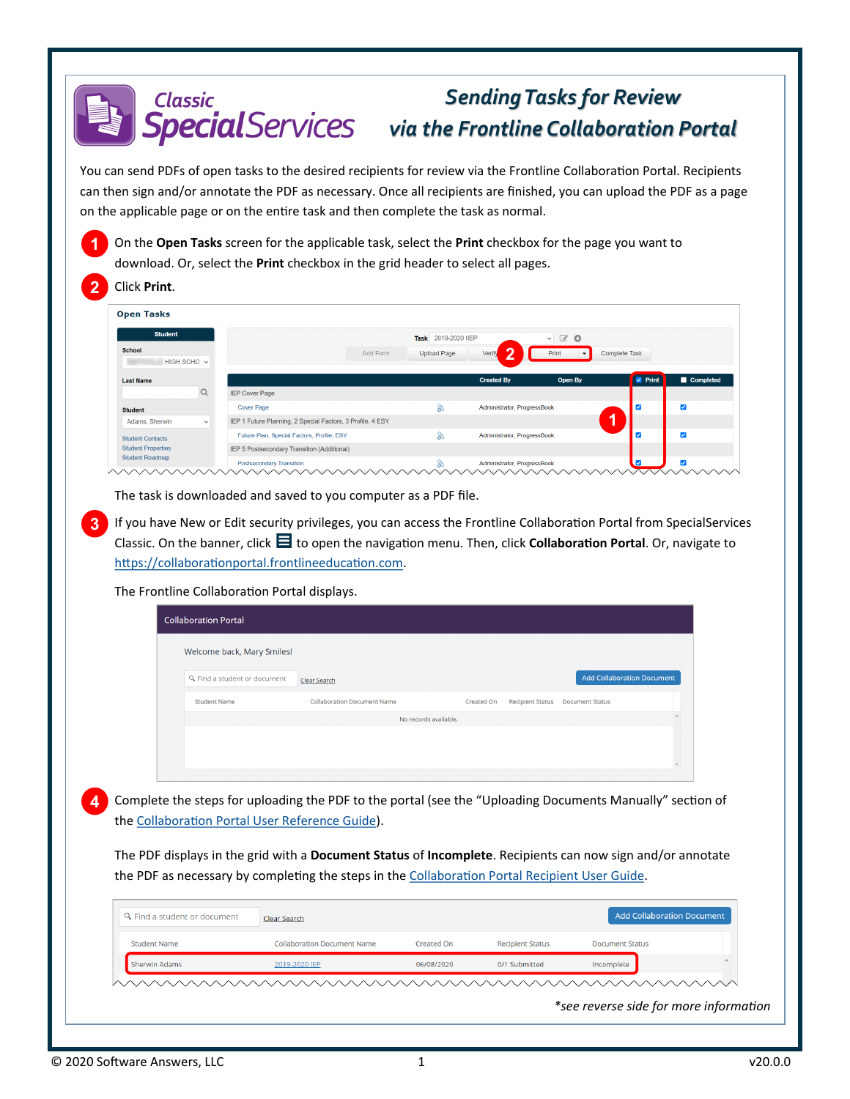## *Sending Tasks for Review* **Classic** *via the Frontline Collaboration Portal*

You can send PDFs of open tasks to the desired recipients for review via the Frontline Collaboration Portal. Recipients can then sign and/or annotate the PDF as necessary. Once all recipients are finished, you can upload the PDF as a page on the applicable page or on the entire task and then complete the task as normal.

**1** On the **Open Tasks** screen for the applicable task, select the **Print** checkbox for the page you want to download. Or, select the **Print** checkbox in the grid header to select all pages.

## **2** Click **Print**.

| <b>Open Tasks</b>         |              |                                                            |                     |                             |                               |                |                          |
|---------------------------|--------------|------------------------------------------------------------|---------------------|-----------------------------|-------------------------------|----------------|--------------------------|
| <b>Student</b>            |              |                                                            | Task 2019-2020 IIEP |                             | $\mathcal{C}$ 0<br>-v F       |                |                          |
| <b>School</b>             |              | Add Form                                                   | <b>Upload Page</b>  | ◚<br>Verify                 | Print<br>$\blacktriangledown$ | Complete Task  |                          |
| HIGH SCHO v               |              |                                                            |                     |                             |                               |                |                          |
| <b>Last Name</b>          |              |                                                            |                     | <b>Created By</b>           | Open By                       | <b>V</b> Print | Completed                |
|                           | $\alpha$     | <b>IEP Cover Page</b>                                      |                     |                             |                               |                |                          |
| <b>Student</b>            |              | <b>Cover Page</b>                                          | 念                   | Administrator, ProgressBook |                               |                | $\overline{\mathsf{v}}$  |
| Adams, Sherwin            | $\checkmark$ | IEP 1 Future Planning, 2 Special Factors, 3 Profile, 4 ESY |                     |                             |                               |                |                          |
| <b>Student Contacts</b>   |              | Future Plan, Special Factors, Profile, ESY                 | Q                   | Administrator, ProgressBook |                               | ⊽              | $\overline{\mathbf{v}}$  |
| <b>Student Properties</b> |              | IEP 5 Postsecondary Transition (Additional)                |                     |                             |                               |                |                          |
| <b>Student Roadmap</b>    |              | <b>Postsecondary Transition</b>                            |                     | Administrator, ProgressBook |                               | v              | $\overline{\mathcal{S}}$ |

The task is downloaded and saved to you computer as a PDF file.

**3** If you have New or Edit security privileges, you can access the Frontline Collaboration Portal from SpecialServices Classic. On the banner, click  $\blacksquare$  to open the navigation menu. Then, click **Collaboration Portal**. Or, navigate to [https://collaborationportal.frontlineeducation.com.](https://collaborationportal.ss.frontlineeducation.com)

The Frontline Collaboration Portal displays.

| Clear Search                       |                   |                         | <b>Add Collaboration Document</b> |
|------------------------------------|-------------------|-------------------------|-----------------------------------|
| <b>Collaboration Document Name</b> | <b>Created On</b> | <b>Recipient Status</b> | <b>Document Status</b>            |
|                                    |                   |                         |                                   |
|                                    |                   |                         |                                   |
|                                    |                   |                         |                                   |
|                                    |                   | No records available.   |                                   |

**4** Complete the steps for uploading the PDF to the portal (see the "Uploading Documents Manually" section of the [Collaboration Portal User Reference Guide\)](https://webhelp.progressbook.com/SpSClassic/Training/Collaboration_Portal_User_Reference_Guide).

The PDF displays in the grid with a **Document Status** of **Incomplete**. Recipients can now sign and/or annotate the PDF as necessary by completing the steps in the [Collaboration Portal Recipient User Guide.](http://help.frontlinek12.com/Documents/All/Collaboration_Portal_User_Guide.pdf)

|                     | Clear Search                       |                   |                         |                        |  |
|---------------------|------------------------------------|-------------------|-------------------------|------------------------|--|
| <b>Student Name</b> | <b>Collaboration Document Name</b> | <b>Created On</b> | <b>Recipient Status</b> | <b>Document Status</b> |  |
| Sherwin Adams       | 2019-2020 IEP                      | 06/08/2020        | 0/1 Submitted           | Incomplete             |  |

*\*see reverse side for more information*